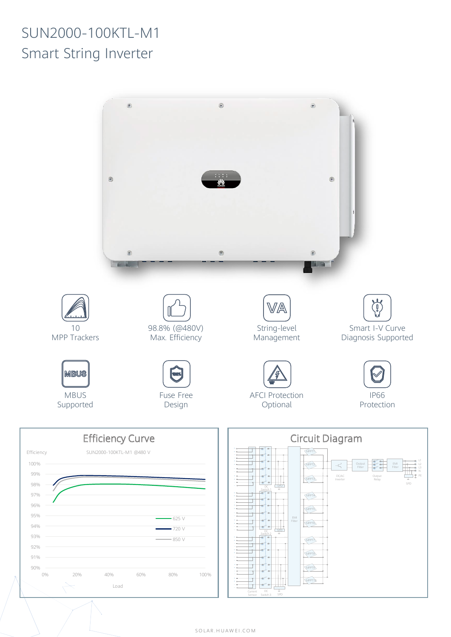## SUN2000-100KTL-M1 Smart String Inverter